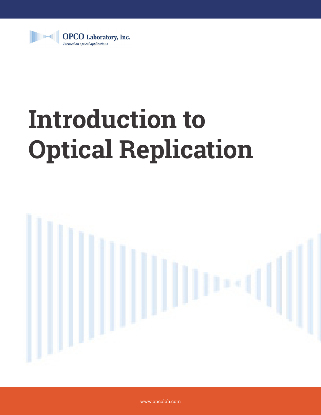

# **Introduction to Optical Replication**



www.opcolab.com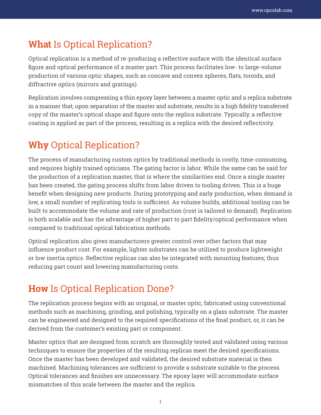## **What** Is Optical Replication?

Optical replication is a method of re-producing a reflective surface with the identical surface figure and optical performance of a master part. This process facilitates low- to large-volume production of various optic shapes, such as concave and convex spheres, flats, toroids, and diffractive optics (mirrors and gratings).

Replication involves compressing a thin epoxy layer between a master optic and a replica substrate in a manner that, upon separation of the master and substrate, results in a high fidelity transferred copy of the master's optical shape and figure onto the replica substrate. Typically, a reflective coating is applied as part of the process, resulting in a replica with the desired reflectivity.

## **Why** Optical Replication?

The process of manufacturing custom optics by traditional methods is costly, time-consuming, and requires highly trained opticians. The gating factor is labor. While the same can be said for the production of a replication master, that is where the similarities end. Once a single master has been created, the gating process shifts from labor driven to tooling driven. This is a huge benefit when designing new products. During prototyping and early production, when demand is low, a small number of replicating tools is sufficient. As volume builds, additional tooling can be built to accommodate the volume and rate of production (cost is tailored to demand). Replication is both scalable and has the advantage of higher part to part fidelity/optical performance when compared to traditional optical fabrication methods.

Optical replication also gives manufacturers greater control over other factors that may influence product cost. For example, lighter substrates can be utilized to produce lightweight or low inertia optics. Reflective replicas can also be integrated with mounting features; thus reducing part count and lowering manufacturing costs.

# **How** Is Optical Replication Done?

The replication process begins with an original, or master optic, fabricated using conventional methods such as machining, grinding, and polishing, typically on a glass substrate. The master can be engineered and designed to the required specifications of the final product, or, it can be derived from the customer's existing part or component.

Master optics that are designed from scratch are thoroughly tested and validated using various techniques to ensure the properties of the resulting replicas meet the desired specifications. Once the master has been developed and validated, the desired substrate material is then machined. Machining tolerances are sufficient to provide a substrate suitable to the process. Optical tolerances and finishes are unnecessary. The epoxy layer will accommodate surface mismatches of this scale between the master and the replica.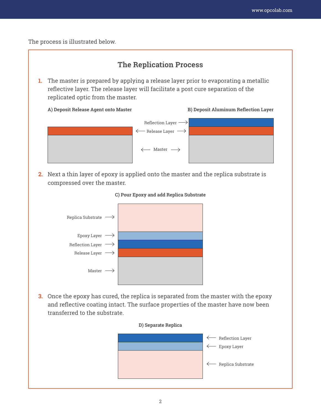The process is illustrated below.







**3.** Once the epoxy has cured, the replica is separated from the master with the epoxy and reflective coating intact. The surface properties of the master have now been transferred to the substrate.

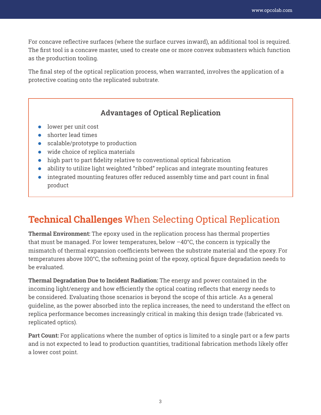For concave reflective surfaces (where the surface curves inward), an additional tool is required. The first tool is a concave master, used to create one or more convex submasters which function as the production tooling.

The final step of the optical replication process, when warranted, involves the application of a protective coating onto the replicated substrate.

#### **Advantages of Optical Replication**

- lower per unit cost
- shorter lead times
- scalable/prototype to production
- wide choice of replica materials
- high part to part fidelity relative to conventional optical fabrication
- ability to utilize light weighted "ribbed" replicas and integrate mounting features
- integrated mounting features offer reduced assembly time and part count in final product

# **Technical Challenges** When Selecting Optical Replication

**Thermal Environment:** The epoxy used in the replication process has thermal properties that must be managed. For lower temperatures, below  $-40^{\circ}$ C, the concern is typically the mismatch of thermal expansion coefficients between the substrate material and the epoxy. For temperatures above 100°C, the softening point of the epoxy, optical figure degradation needs to be evaluated.

**Thermal Degradation Due to Incident Radiation:** The energy and power contained in the incoming light/energy and how efficiently the optical coating reflects that energy needs to be considered. Evaluating those scenarios is beyond the scope of this article. As a general guideline, as the power absorbed into the replica increases, the need to understand the effect on replica performance becomes increasingly critical in making this design trade (fabricated vs. replicated optics).

**Part Count:** For applications where the number of optics is limited to a single part or a few parts and is not expected to lead to production quantities, traditional fabrication methods likely offer a lower cost point.